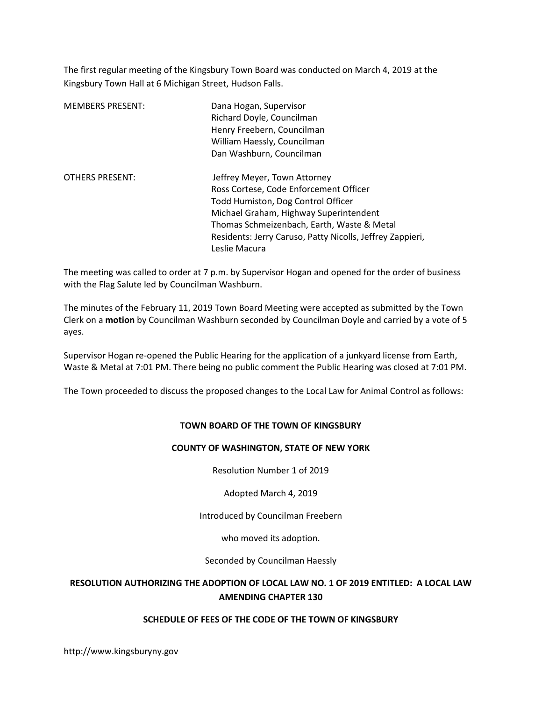The first regular meeting of the Kingsbury Town Board was conducted on March 4, 2019 at the Kingsbury Town Hall at 6 Michigan Street, Hudson Falls.

| <b>MEMBERS PRESENT:</b> | Dana Hogan, Supervisor<br>Richard Doyle, Councilman<br>Henry Freebern, Councilman<br>William Haessly, Councilman<br>Dan Washburn, Councilman                                                                                                                                       |
|-------------------------|------------------------------------------------------------------------------------------------------------------------------------------------------------------------------------------------------------------------------------------------------------------------------------|
| <b>OTHERS PRESENT:</b>  | Jeffrey Meyer, Town Attorney<br>Ross Cortese, Code Enforcement Officer<br>Todd Humiston, Dog Control Officer<br>Michael Graham, Highway Superintendent<br>Thomas Schmeizenbach, Earth, Waste & Metal<br>Residents: Jerry Caruso, Patty Nicolls, Jeffrey Zappieri,<br>Leslie Macura |

The meeting was called to order at 7 p.m. by Supervisor Hogan and opened for the order of business with the Flag Salute led by Councilman Washburn.

The minutes of the February 11, 2019 Town Board Meeting were accepted as submitted by the Town Clerk on a motion by Councilman Washburn seconded by Councilman Doyle and carried by a vote of 5 ayes.

Supervisor Hogan re-opened the Public Hearing for the application of a junkyard license from Earth, Waste & Metal at 7:01 PM. There being no public comment the Public Hearing was closed at 7:01 PM.

The Town proceeded to discuss the proposed changes to the Local Law for Animal Control as follows:

### TOWN BOARD OF THE TOWN OF KINGSBURY

### COUNTY OF WASHINGTON, STATE OF NEW YORK

Resolution Number 1 of 2019

Adopted March 4, 2019

Introduced by Councilman Freebern

who moved its adoption.

Seconded by Councilman Haessly

# RESOLUTION AUTHORIZING THE ADOPTION OF LOCAL LAW NO. 1 OF 2019 ENTITLED: A LOCAL LAW AMENDING CHAPTER 130

### SCHEDULE OF FEES OF THE CODE OF THE TOWN OF KINGSBURY

http://www.kingsburyny.gov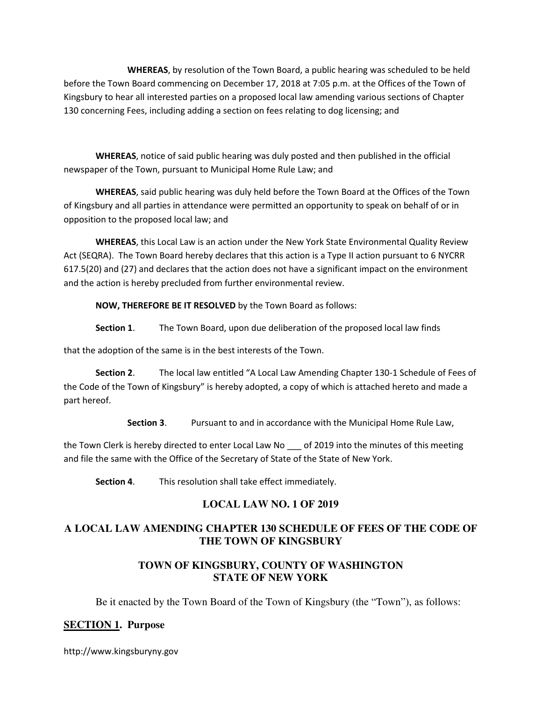WHEREAS, by resolution of the Town Board, a public hearing was scheduled to be held before the Town Board commencing on December 17, 2018 at 7:05 p.m. at the Offices of the Town of Kingsbury to hear all interested parties on a proposed local law amending various sections of Chapter 130 concerning Fees, including adding a section on fees relating to dog licensing; and

WHEREAS, notice of said public hearing was duly posted and then published in the official newspaper of the Town, pursuant to Municipal Home Rule Law; and

 WHEREAS, said public hearing was duly held before the Town Board at the Offices of the Town of Kingsbury and all parties in attendance were permitted an opportunity to speak on behalf of or in opposition to the proposed local law; and

WHEREAS, this Local Law is an action under the New York State Environmental Quality Review Act (SEQRA). The Town Board hereby declares that this action is a Type II action pursuant to 6 NYCRR 617.5(20) and (27) and declares that the action does not have a significant impact on the environment and the action is hereby precluded from further environmental review.

NOW, THEREFORE BE IT RESOLVED by the Town Board as follows:

Section 1. The Town Board, upon due deliberation of the proposed local law finds

that the adoption of the same is in the best interests of the Town.

Section 2. The local law entitled "A Local Law Amending Chapter 130-1 Schedule of Fees of the Code of the Town of Kingsbury" is hereby adopted, a copy of which is attached hereto and made a part hereof.

Section 3. Pursuant to and in accordance with the Municipal Home Rule Law,

the Town Clerk is hereby directed to enter Local Law No \_\_\_ of 2019 into the minutes of this meeting and file the same with the Office of the Secretary of State of the State of New York.

Section 4. This resolution shall take effect immediately.

# **LOCAL LAW NO. 1 OF 2019**

# **A LOCAL LAW AMENDING CHAPTER 130 SCHEDULE OF FEES OF THE CODE OF THE TOWN OF KINGSBURY**

# **TOWN OF KINGSBURY, COUNTY OF WASHINGTON STATE OF NEW YORK**

Be it enacted by the Town Board of the Town of Kingsbury (the "Town"), as follows:

# **SECTION 1. Purpose**

http://www.kingsburyny.gov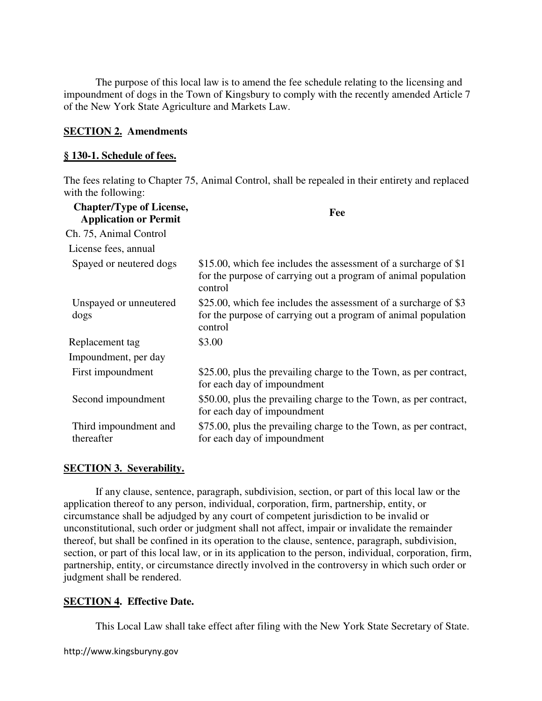The purpose of this local law is to amend the fee schedule relating to the licensing and impoundment of dogs in the Town of Kingsbury to comply with the recently amended Article 7 of the New York State Agriculture and Markets Law.

## **SECTION 2. Amendments**

## **§ 130-1. Schedule of fees.**

The fees relating to Chapter 75, Animal Control, shall be repealed in their entirety and replaced with the following:

| <b>Chapter/Type of License,</b><br><b>Application or Permit</b> | Fee                                                                                                                                           |
|-----------------------------------------------------------------|-----------------------------------------------------------------------------------------------------------------------------------------------|
| Ch. 75, Animal Control                                          |                                                                                                                                               |
| License fees, annual                                            |                                                                                                                                               |
| Spayed or neutered dogs                                         | \$15.00, which fee includes the assessment of a surcharge of \$1<br>for the purpose of carrying out a program of animal population<br>control |
| Unspayed or unneutered<br>dogs                                  | \$25.00, which fee includes the assessment of a surcharge of \$3<br>for the purpose of carrying out a program of animal population<br>control |
| Replacement tag                                                 | \$3.00                                                                                                                                        |
| Impoundment, per day                                            |                                                                                                                                               |
| First impoundment                                               | \$25.00, plus the prevailing charge to the Town, as per contract,<br>for each day of impoundment                                              |
| Second impoundment                                              | \$50.00, plus the prevailing charge to the Town, as per contract,<br>for each day of impoundment                                              |
| Third impoundment and<br>thereafter                             | \$75.00, plus the prevailing charge to the Town, as per contract,<br>for each day of impoundment                                              |

## **SECTION 3. Severability.**

If any clause, sentence, paragraph, subdivision, section, or part of this local law or the application thereof to any person, individual, corporation, firm, partnership, entity, or circumstance shall be adjudged by any court of competent jurisdiction to be invalid or unconstitutional, such order or judgment shall not affect, impair or invalidate the remainder thereof, but shall be confined in its operation to the clause, sentence, paragraph, subdivision, section, or part of this local law, or in its application to the person, individual, corporation, firm, partnership, entity, or circumstance directly involved in the controversy in which such order or judgment shall be rendered.

## **SECTION 4. Effective Date.**

This Local Law shall take effect after filing with the New York State Secretary of State.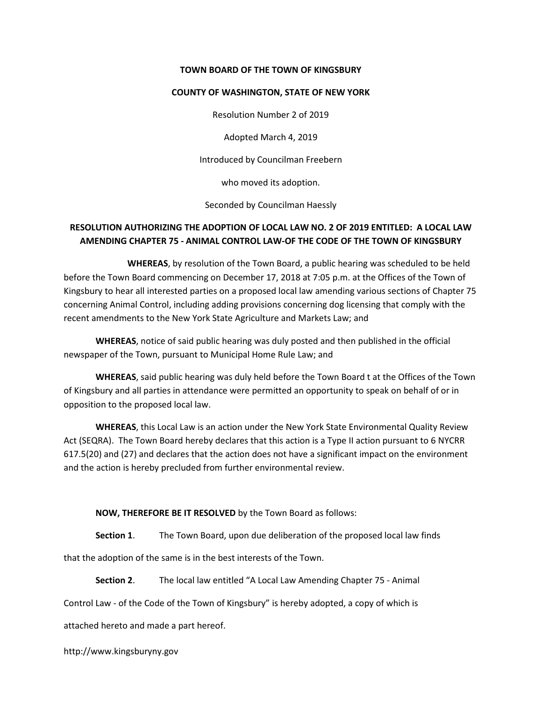#### TOWN BOARD OF THE TOWN OF KINGSBURY

#### COUNTY OF WASHINGTON, STATE OF NEW YORK

Resolution Number 2 of 2019

Adopted March 4, 2019

Introduced by Councilman Freebern

who moved its adoption.

Seconded by Councilman Haessly

# RESOLUTION AUTHORIZING THE ADOPTION OF LOCAL LAW NO. 2 OF 2019 ENTITLED: A LOCAL LAW AMENDING CHAPTER 75 - ANIMAL CONTROL LAW-OF THE CODE OF THE TOWN OF KINGSBURY

 WHEREAS, by resolution of the Town Board, a public hearing was scheduled to be held before the Town Board commencing on December 17, 2018 at 7:05 p.m. at the Offices of the Town of Kingsbury to hear all interested parties on a proposed local law amending various sections of Chapter 75 concerning Animal Control, including adding provisions concerning dog licensing that comply with the recent amendments to the New York State Agriculture and Markets Law; and

WHEREAS, notice of said public hearing was duly posted and then published in the official newspaper of the Town, pursuant to Municipal Home Rule Law; and

WHEREAS, said public hearing was duly held before the Town Board t at the Offices of the Town of Kingsbury and all parties in attendance were permitted an opportunity to speak on behalf of or in opposition to the proposed local law.

WHEREAS, this Local Law is an action under the New York State Environmental Quality Review Act (SEQRA). The Town Board hereby declares that this action is a Type II action pursuant to 6 NYCRR 617.5(20) and (27) and declares that the action does not have a significant impact on the environment and the action is hereby precluded from further environmental review.

NOW, THEREFORE BE IT RESOLVED by the Town Board as follows:

Section 1. The Town Board, upon due deliberation of the proposed local law finds

that the adoption of the same is in the best interests of the Town.

Section 2. The local law entitled "A Local Law Amending Chapter 75 - Animal

Control Law - of the Code of the Town of Kingsbury" is hereby adopted, a copy of which is

attached hereto and made a part hereof.

http://www.kingsburyny.gov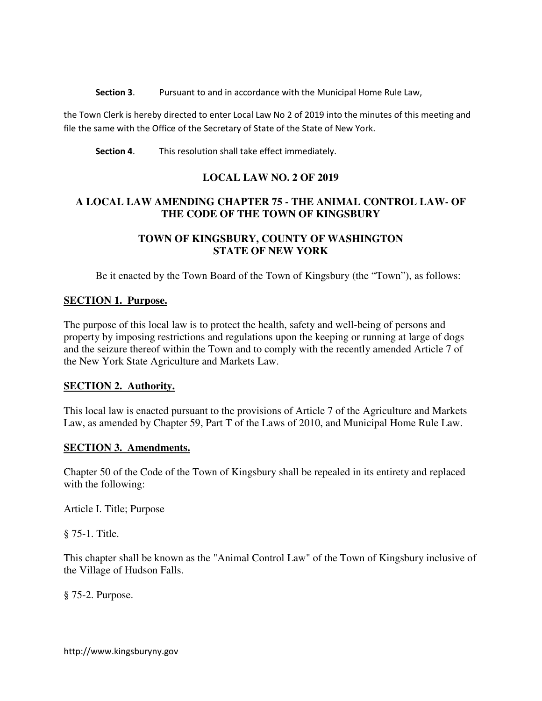Section 3. Pursuant to and in accordance with the Municipal Home Rule Law,

the Town Clerk is hereby directed to enter Local Law No 2 of 2019 into the minutes of this meeting and file the same with the Office of the Secretary of State of the State of New York.

Section 4. This resolution shall take effect immediately.

# **LOCAL LAW NO. 2 OF 2019**

# **A LOCAL LAW AMENDING CHAPTER 75 - THE ANIMAL CONTROL LAW- OF THE CODE OF THE TOWN OF KINGSBURY**

# **TOWN OF KINGSBURY, COUNTY OF WASHINGTON STATE OF NEW YORK**

Be it enacted by the Town Board of the Town of Kingsbury (the "Town"), as follows:

# **SECTION 1. Purpose.**

The purpose of this local law is to protect the health, safety and well-being of persons and property by imposing restrictions and regulations upon the keeping or running at large of dogs and the seizure thereof within the Town and to comply with the recently amended Article 7 of the New York State Agriculture and Markets Law.

## **SECTION 2. Authority.**

This local law is enacted pursuant to the provisions of Article 7 of the Agriculture and Markets Law, as amended by Chapter 59, Part T of the Laws of 2010, and Municipal Home Rule Law.

## **SECTION 3. Amendments.**

Chapter 50 of the Code of the Town of Kingsbury shall be repealed in its entirety and replaced with the following:

Article I. Title; Purpose

§ 75-1. Title.

This chapter shall be known as the "Animal Control Law" of the Town of Kingsbury inclusive of the Village of Hudson Falls.

§ 75-2. Purpose.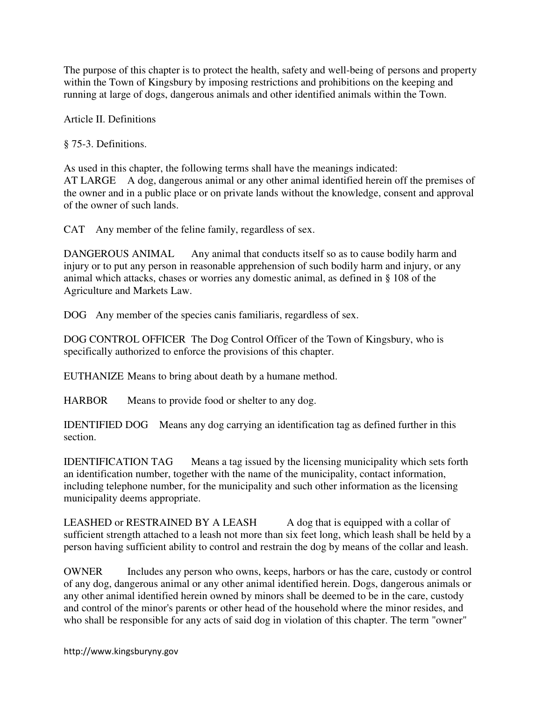The purpose of this chapter is to protect the health, safety and well-being of persons and property within the Town of Kingsbury by imposing restrictions and prohibitions on the keeping and running at large of dogs, dangerous animals and other identified animals within the Town.

Article II. Definitions

§ 75-3. Definitions.

As used in this chapter, the following terms shall have the meanings indicated: AT LARGE A dog, dangerous animal or any other animal identified herein off the premises of the owner and in a public place or on private lands without the knowledge, consent and approval of the owner of such lands.

CAT Any member of the feline family, regardless of sex.

DANGEROUS ANIMAL Any animal that conducts itself so as to cause bodily harm and injury or to put any person in reasonable apprehension of such bodily harm and injury, or any animal which attacks, chases or worries any domestic animal, as defined in § 108 of the Agriculture and Markets Law.

DOG Any member of the species canis familiaris, regardless of sex.

DOG CONTROL OFFICER The Dog Control Officer of the Town of Kingsbury, who is specifically authorized to enforce the provisions of this chapter.

EUTHANIZE Means to bring about death by a humane method.

HARBOR Means to provide food or shelter to any dog.

IDENTIFIED DOG Means any dog carrying an identification tag as defined further in this section.

IDENTIFICATION TAG Means a tag issued by the licensing municipality which sets forth an identification number, together with the name of the municipality, contact information, including telephone number, for the municipality and such other information as the licensing municipality deems appropriate.

LEASHED or RESTRAINED BY A LEASH A dog that is equipped with a collar of sufficient strength attached to a leash not more than six feet long, which leash shall be held by a person having sufficient ability to control and restrain the dog by means of the collar and leash.

OWNER Includes any person who owns, keeps, harbors or has the care, custody or control of any dog, dangerous animal or any other animal identified herein. Dogs, dangerous animals or any other animal identified herein owned by minors shall be deemed to be in the care, custody and control of the minor's parents or other head of the household where the minor resides, and who shall be responsible for any acts of said dog in violation of this chapter. The term "owner"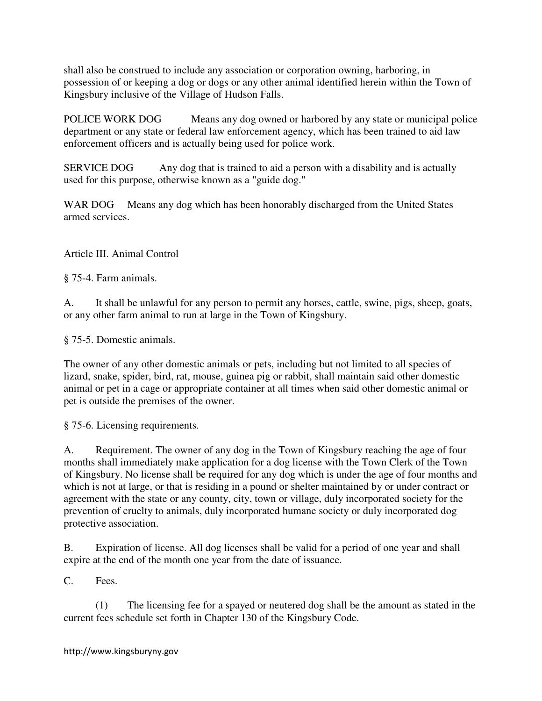shall also be construed to include any association or corporation owning, harboring, in possession of or keeping a dog or dogs or any other animal identified herein within the Town of Kingsbury inclusive of the Village of Hudson Falls.

POLICE WORK DOG Means any dog owned or harbored by any state or municipal police department or any state or federal law enforcement agency, which has been trained to aid law enforcement officers and is actually being used for police work.

SERVICE DOG Any dog that is trained to aid a person with a disability and is actually used for this purpose, otherwise known as a "guide dog."

WAR DOG Means any dog which has been honorably discharged from the United States armed services.

Article III. Animal Control

§ 75-4. Farm animals.

A. It shall be unlawful for any person to permit any horses, cattle, swine, pigs, sheep, goats, or any other farm animal to run at large in the Town of Kingsbury.

§ 75-5. Domestic animals.

The owner of any other domestic animals or pets, including but not limited to all species of lizard, snake, spider, bird, rat, mouse, guinea pig or rabbit, shall maintain said other domestic animal or pet in a cage or appropriate container at all times when said other domestic animal or pet is outside the premises of the owner.

§ 75-6. Licensing requirements.

A. Requirement. The owner of any dog in the Town of Kingsbury reaching the age of four months shall immediately make application for a dog license with the Town Clerk of the Town of Kingsbury. No license shall be required for any dog which is under the age of four months and which is not at large, or that is residing in a pound or shelter maintained by or under contract or agreement with the state or any county, city, town or village, duly incorporated society for the prevention of cruelty to animals, duly incorporated humane society or duly incorporated dog protective association.

B. Expiration of license. All dog licenses shall be valid for a period of one year and shall expire at the end of the month one year from the date of issuance.

C. Fees.

 (1) The licensing fee for a spayed or neutered dog shall be the amount as stated in the current fees schedule set forth in Chapter 130 of the Kingsbury Code.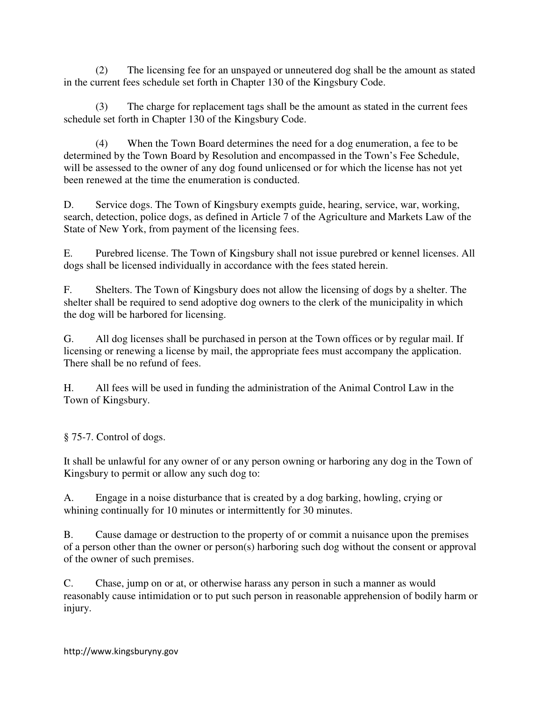(2) The licensing fee for an unspayed or unneutered dog shall be the amount as stated in the current fees schedule set forth in Chapter 130 of the Kingsbury Code.

(3) The charge for replacement tags shall be the amount as stated in the current fees schedule set forth in Chapter 130 of the Kingsbury Code.

(4) When the Town Board determines the need for a dog enumeration, a fee to be determined by the Town Board by Resolution and encompassed in the Town's Fee Schedule, will be assessed to the owner of any dog found unlicensed or for which the license has not yet been renewed at the time the enumeration is conducted.

D. Service dogs. The Town of Kingsbury exempts guide, hearing, service, war, working, search, detection, police dogs, as defined in Article 7 of the Agriculture and Markets Law of the State of New York, from payment of the licensing fees.

E. Purebred license. The Town of Kingsbury shall not issue purebred or kennel licenses. All dogs shall be licensed individually in accordance with the fees stated herein.

F. Shelters. The Town of Kingsbury does not allow the licensing of dogs by a shelter. The shelter shall be required to send adoptive dog owners to the clerk of the municipality in which the dog will be harbored for licensing.

G. All dog licenses shall be purchased in person at the Town offices or by regular mail. If licensing or renewing a license by mail, the appropriate fees must accompany the application. There shall be no refund of fees.

H. All fees will be used in funding the administration of the Animal Control Law in the Town of Kingsbury.

§ 75-7. Control of dogs.

It shall be unlawful for any owner of or any person owning or harboring any dog in the Town of Kingsbury to permit or allow any such dog to:

A. Engage in a noise disturbance that is created by a dog barking, howling, crying or whining continually for 10 minutes or intermittently for 30 minutes.

B. Cause damage or destruction to the property of or commit a nuisance upon the premises of a person other than the owner or person(s) harboring such dog without the consent or approval of the owner of such premises.

C. Chase, jump on or at, or otherwise harass any person in such a manner as would reasonably cause intimidation or to put such person in reasonable apprehension of bodily harm or injury.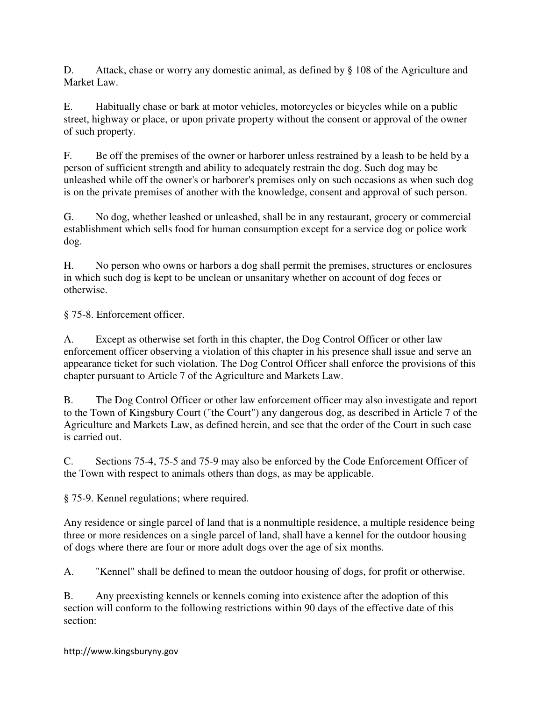D. Attack, chase or worry any domestic animal, as defined by § 108 of the Agriculture and Market Law.

E. Habitually chase or bark at motor vehicles, motorcycles or bicycles while on a public street, highway or place, or upon private property without the consent or approval of the owner of such property.

F. Be off the premises of the owner or harborer unless restrained by a leash to be held by a person of sufficient strength and ability to adequately restrain the dog. Such dog may be unleashed while off the owner's or harborer's premises only on such occasions as when such dog is on the private premises of another with the knowledge, consent and approval of such person.

G. No dog, whether leashed or unleashed, shall be in any restaurant, grocery or commercial establishment which sells food for human consumption except for a service dog or police work dog.

H. No person who owns or harbors a dog shall permit the premises, structures or enclosures in which such dog is kept to be unclean or unsanitary whether on account of dog feces or otherwise.

§ 75-8. Enforcement officer.

A. Except as otherwise set forth in this chapter, the Dog Control Officer or other law enforcement officer observing a violation of this chapter in his presence shall issue and serve an appearance ticket for such violation. The Dog Control Officer shall enforce the provisions of this chapter pursuant to Article 7 of the Agriculture and Markets Law.

B. The Dog Control Officer or other law enforcement officer may also investigate and report to the Town of Kingsbury Court ("the Court") any dangerous dog, as described in Article 7 of the Agriculture and Markets Law, as defined herein, and see that the order of the Court in such case is carried out.

C. Sections 75-4, 75-5 and 75-9 may also be enforced by the Code Enforcement Officer of the Town with respect to animals others than dogs, as may be applicable.

§ 75-9. Kennel regulations; where required.

Any residence or single parcel of land that is a nonmultiple residence, a multiple residence being three or more residences on a single parcel of land, shall have a kennel for the outdoor housing of dogs where there are four or more adult dogs over the age of six months.

A. "Kennel" shall be defined to mean the outdoor housing of dogs, for profit or otherwise.

B. Any preexisting kennels or kennels coming into existence after the adoption of this section will conform to the following restrictions within 90 days of the effective date of this section: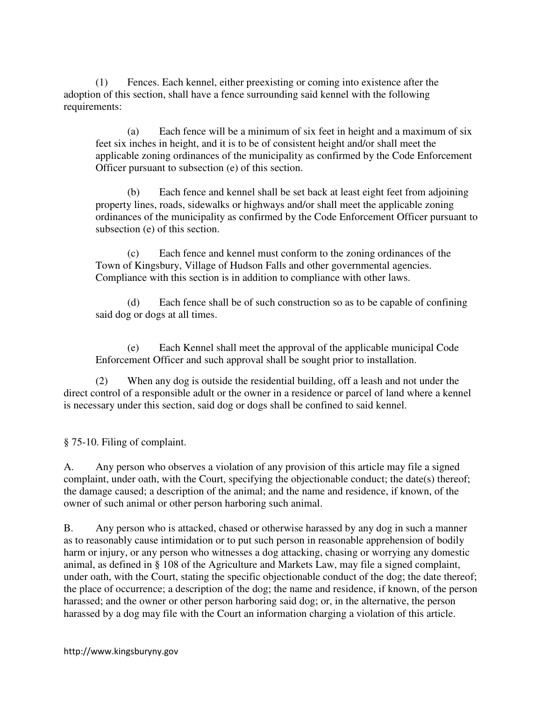(1) Fences. Each kennel, either preexisting or coming into existence after the adoption of this section, shall have a fence surrounding said kennel with the following requirements:

(a) Each fence will be a minimum of six feet in height and a maximum of six feet six inches in height, and it is to be of consistent height and/or shall meet the applicable zoning ordinances of the municipality as confirmed by the Code Enforcement Officer pursuant to subsection (e) of this section.

(b) Each fence and kennel shall be set back at least eight feet from adjoining property lines, roads, sidewalks or highways and/or shall meet the applicable zoning ordinances of the municipality as confirmed by the Code Enforcement Officer pursuant to subsection (e) of this section.

(c) Each fence and kennel must conform to the zoning ordinances of the Town of Kingsbury, Village of Hudson Falls and other governmental agencies. Compliance with this section is in addition to compliance with other laws.

(d) Each fence shall be of such construction so as to be capable of confining said dog or dogs at all times.

(e) Each Kennel shall meet the approval of the applicable municipal Code Enforcement Officer and such approval shall be sought prior to installation.

(2) When any dog is outside the residential building, off a leash and not under the direct control of a responsible adult or the owner in a residence or parcel of land where a kennel is necessary under this section, said dog or dogs shall be confined to said kennel.

§ 75-10. Filing of complaint.

A. Any person who observes a violation of any provision of this article may file a signed complaint, under oath, with the Court, specifying the objectionable conduct; the date(s) thereof; the damage caused; a description of the animal; and the name and residence, if known, of the owner of such animal or other person harboring such animal.

B. Any person who is attacked, chased or otherwise harassed by any dog in such a manner as to reasonably cause intimidation or to put such person in reasonable apprehension of bodily harm or injury, or any person who witnesses a dog attacking, chasing or worrying any domestic animal, as defined in § 108 of the Agriculture and Markets Law, may file a signed complaint, under oath, with the Court, stating the specific objectionable conduct of the dog; the date thereof; the place of occurrence; a description of the dog; the name and residence, if known, of the person harassed; and the owner or other person harboring said dog; or, in the alternative, the person harassed by a dog may file with the Court an information charging a violation of this article.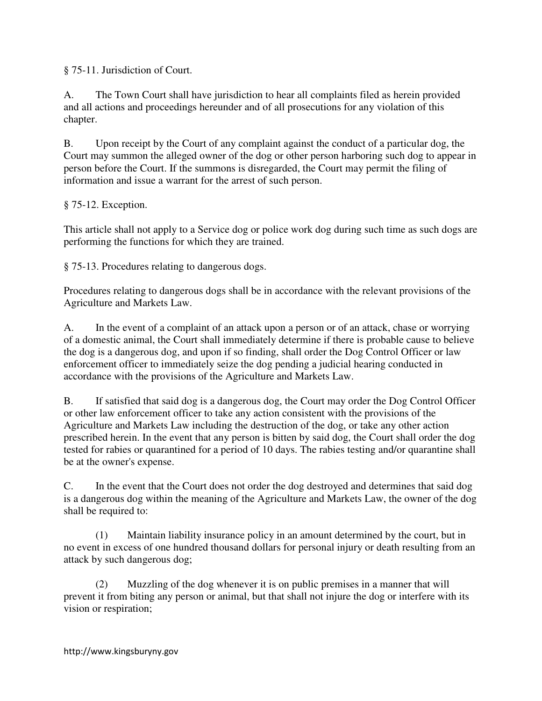§ 75-11. Jurisdiction of Court.

A. The Town Court shall have jurisdiction to hear all complaints filed as herein provided and all actions and proceedings hereunder and of all prosecutions for any violation of this chapter.

B. Upon receipt by the Court of any complaint against the conduct of a particular dog, the Court may summon the alleged owner of the dog or other person harboring such dog to appear in person before the Court. If the summons is disregarded, the Court may permit the filing of information and issue a warrant for the arrest of such person.

# § 75-12. Exception.

This article shall not apply to a Service dog or police work dog during such time as such dogs are performing the functions for which they are trained.

§ 75-13. Procedures relating to dangerous dogs.

Procedures relating to dangerous dogs shall be in accordance with the relevant provisions of the Agriculture and Markets Law.

A. In the event of a complaint of an attack upon a person or of an attack, chase or worrying of a domestic animal, the Court shall immediately determine if there is probable cause to believe the dog is a dangerous dog, and upon if so finding, shall order the Dog Control Officer or law enforcement officer to immediately seize the dog pending a judicial hearing conducted in accordance with the provisions of the Agriculture and Markets Law.

B. If satisfied that said dog is a dangerous dog, the Court may order the Dog Control Officer or other law enforcement officer to take any action consistent with the provisions of the Agriculture and Markets Law including the destruction of the dog, or take any other action prescribed herein. In the event that any person is bitten by said dog, the Court shall order the dog tested for rabies or quarantined for a period of 10 days. The rabies testing and/or quarantine shall be at the owner's expense.

C. In the event that the Court does not order the dog destroyed and determines that said dog is a dangerous dog within the meaning of the Agriculture and Markets Law, the owner of the dog shall be required to:

(1) Maintain liability insurance policy in an amount determined by the court, but in no event in excess of one hundred thousand dollars for personal injury or death resulting from an attack by such dangerous dog;

(2) Muzzling of the dog whenever it is on public premises in a manner that will prevent it from biting any person or animal, but that shall not injure the dog or interfere with its vision or respiration;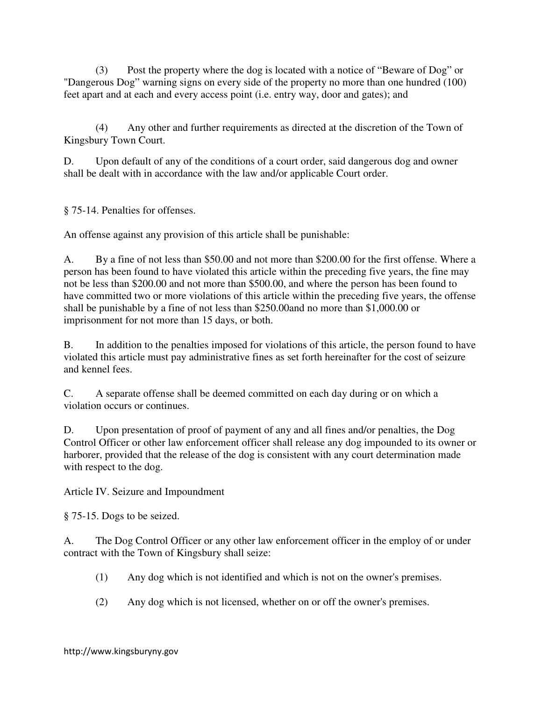(3) Post the property where the dog is located with a notice of "Beware of Dog" or "Dangerous Dog" warning signs on every side of the property no more than one hundred (100) feet apart and at each and every access point (i.e. entry way, door and gates); and

(4) Any other and further requirements as directed at the discretion of the Town of Kingsbury Town Court.

D. Upon default of any of the conditions of a court order, said dangerous dog and owner shall be dealt with in accordance with the law and/or applicable Court order.

§ 75-14. Penalties for offenses.

An offense against any provision of this article shall be punishable:

A. By a fine of not less than \$50.00 and not more than \$200.00 for the first offense. Where a person has been found to have violated this article within the preceding five years, the fine may not be less than \$200.00 and not more than \$500.00, and where the person has been found to have committed two or more violations of this article within the preceding five years, the offense shall be punishable by a fine of not less than \$250.00and no more than \$1,000.00 or imprisonment for not more than 15 days, or both.

B. In addition to the penalties imposed for violations of this article, the person found to have violated this article must pay administrative fines as set forth hereinafter for the cost of seizure and kennel fees.

C. A separate offense shall be deemed committed on each day during or on which a violation occurs or continues.

D. Upon presentation of proof of payment of any and all fines and/or penalties, the Dog Control Officer or other law enforcement officer shall release any dog impounded to its owner or harborer, provided that the release of the dog is consistent with any court determination made with respect to the dog.

Article IV. Seizure and Impoundment

§ 75-15. Dogs to be seized.

A. The Dog Control Officer or any other law enforcement officer in the employ of or under contract with the Town of Kingsbury shall seize:

- (1) Any dog which is not identified and which is not on the owner's premises.
- (2) Any dog which is not licensed, whether on or off the owner's premises.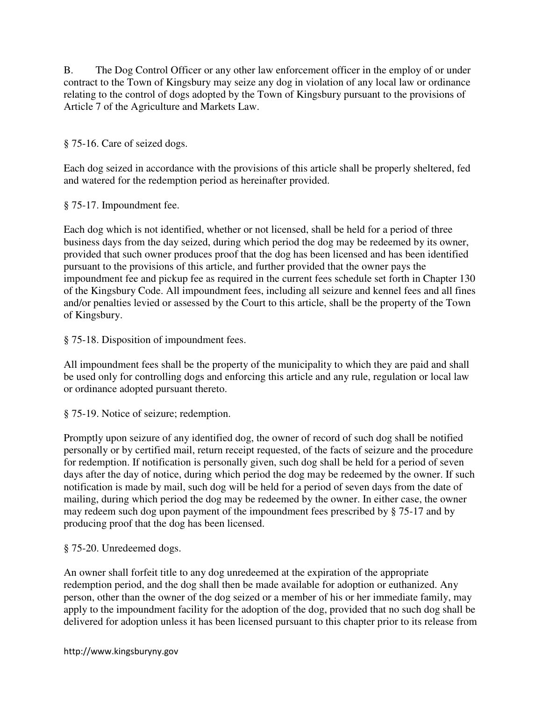B. The Dog Control Officer or any other law enforcement officer in the employ of or under contract to the Town of Kingsbury may seize any dog in violation of any local law or ordinance relating to the control of dogs adopted by the Town of Kingsbury pursuant to the provisions of Article 7 of the Agriculture and Markets Law.

§ 75-16. Care of seized dogs.

Each dog seized in accordance with the provisions of this article shall be properly sheltered, fed and watered for the redemption period as hereinafter provided.

§ 75-17. Impoundment fee.

Each dog which is not identified, whether or not licensed, shall be held for a period of three business days from the day seized, during which period the dog may be redeemed by its owner, provided that such owner produces proof that the dog has been licensed and has been identified pursuant to the provisions of this article, and further provided that the owner pays the impoundment fee and pickup fee as required in the current fees schedule set forth in Chapter 130 of the Kingsbury Code. All impoundment fees, including all seizure and kennel fees and all fines and/or penalties levied or assessed by the Court to this article, shall be the property of the Town of Kingsbury.

§ 75-18. Disposition of impoundment fees.

All impoundment fees shall be the property of the municipality to which they are paid and shall be used only for controlling dogs and enforcing this article and any rule, regulation or local law or ordinance adopted pursuant thereto.

§ 75-19. Notice of seizure; redemption.

Promptly upon seizure of any identified dog, the owner of record of such dog shall be notified personally or by certified mail, return receipt requested, of the facts of seizure and the procedure for redemption. If notification is personally given, such dog shall be held for a period of seven days after the day of notice, during which period the dog may be redeemed by the owner. If such notification is made by mail, such dog will be held for a period of seven days from the date of mailing, during which period the dog may be redeemed by the owner. In either case, the owner may redeem such dog upon payment of the impoundment fees prescribed by § 75-17 and by producing proof that the dog has been licensed.

§ 75-20. Unredeemed dogs.

An owner shall forfeit title to any dog unredeemed at the expiration of the appropriate redemption period, and the dog shall then be made available for adoption or euthanized. Any person, other than the owner of the dog seized or a member of his or her immediate family, may apply to the impoundment facility for the adoption of the dog, provided that no such dog shall be delivered for adoption unless it has been licensed pursuant to this chapter prior to its release from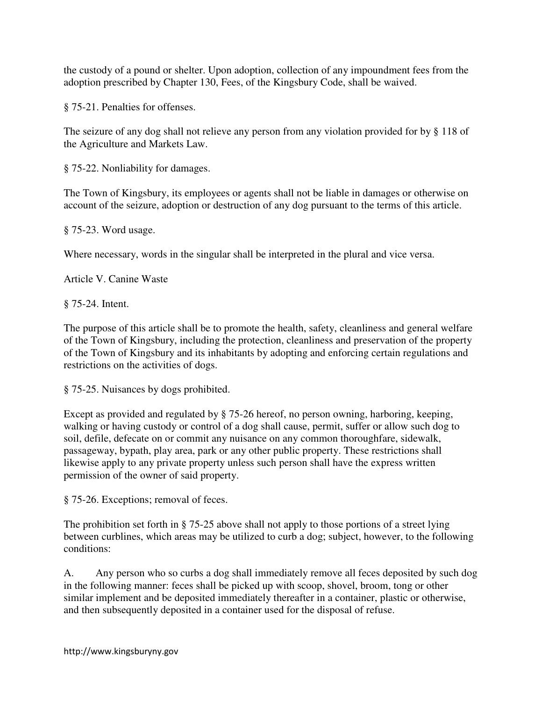the custody of a pound or shelter. Upon adoption, collection of any impoundment fees from the adoption prescribed by Chapter 130, Fees, of the Kingsbury Code, shall be waived.

§ 75-21. Penalties for offenses.

The seizure of any dog shall not relieve any person from any violation provided for by § 118 of the Agriculture and Markets Law.

§ 75-22. Nonliability for damages.

The Town of Kingsbury, its employees or agents shall not be liable in damages or otherwise on account of the seizure, adoption or destruction of any dog pursuant to the terms of this article.

§ 75-23. Word usage.

Where necessary, words in the singular shall be interpreted in the plural and vice versa.

Article V. Canine Waste

§ 75-24. Intent.

The purpose of this article shall be to promote the health, safety, cleanliness and general welfare of the Town of Kingsbury, including the protection, cleanliness and preservation of the property of the Town of Kingsbury and its inhabitants by adopting and enforcing certain regulations and restrictions on the activities of dogs.

§ 75-25. Nuisances by dogs prohibited.

Except as provided and regulated by § 75-26 hereof, no person owning, harboring, keeping, walking or having custody or control of a dog shall cause, permit, suffer or allow such dog to soil, defile, defecate on or commit any nuisance on any common thoroughfare, sidewalk, passageway, bypath, play area, park or any other public property. These restrictions shall likewise apply to any private property unless such person shall have the express written permission of the owner of said property.

§ 75-26. Exceptions; removal of feces.

The prohibition set forth in § 75-25 above shall not apply to those portions of a street lying between curblines, which areas may be utilized to curb a dog; subject, however, to the following conditions:

A. Any person who so curbs a dog shall immediately remove all feces deposited by such dog in the following manner: feces shall be picked up with scoop, shovel, broom, tong or other similar implement and be deposited immediately thereafter in a container, plastic or otherwise, and then subsequently deposited in a container used for the disposal of refuse.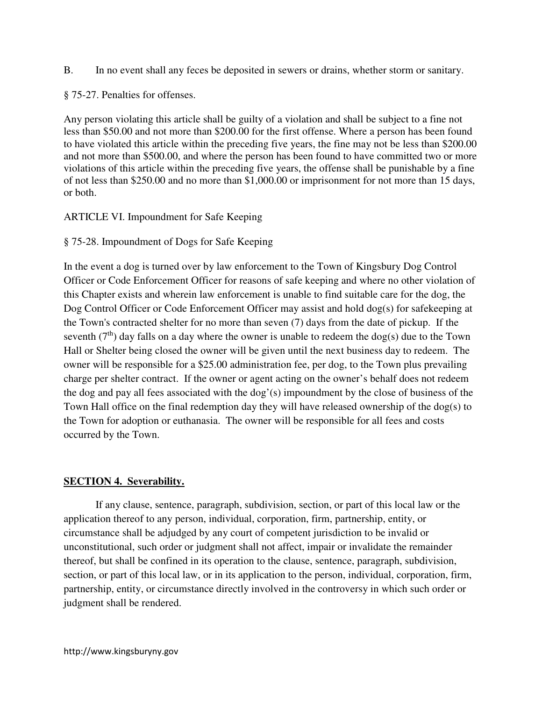B. In no event shall any feces be deposited in sewers or drains, whether storm or sanitary.

§ 75-27. Penalties for offenses.

Any person violating this article shall be guilty of a violation and shall be subject to a fine not less than \$50.00 and not more than \$200.00 for the first offense. Where a person has been found to have violated this article within the preceding five years, the fine may not be less than \$200.00 and not more than \$500.00, and where the person has been found to have committed two or more violations of this article within the preceding five years, the offense shall be punishable by a fine of not less than \$250.00 and no more than \$1,000.00 or imprisonment for not more than 15 days, or both.

# ARTICLE VI. Impoundment for Safe Keeping

§ 75-28. Impoundment of Dogs for Safe Keeping

In the event a dog is turned over by law enforcement to the Town of Kingsbury Dog Control Officer or Code Enforcement Officer for reasons of safe keeping and where no other violation of this Chapter exists and wherein law enforcement is unable to find suitable care for the dog, the Dog Control Officer or Code Enforcement Officer may assist and hold dog(s) for safekeeping at the Town's contracted shelter for no more than seven (7) days from the date of pickup. If the seventh ( $7<sup>th</sup>$ ) day falls on a day where the owner is unable to redeem the dog(s) due to the Town Hall or Shelter being closed the owner will be given until the next business day to redeem. The owner will be responsible for a \$25.00 administration fee, per dog, to the Town plus prevailing charge per shelter contract. If the owner or agent acting on the owner's behalf does not redeem the dog and pay all fees associated with the dog'(s) impoundment by the close of business of the Town Hall office on the final redemption day they will have released ownership of the dog(s) to the Town for adoption or euthanasia. The owner will be responsible for all fees and costs occurred by the Town.

# **SECTION 4. Severability.**

If any clause, sentence, paragraph, subdivision, section, or part of this local law or the application thereof to any person, individual, corporation, firm, partnership, entity, or circumstance shall be adjudged by any court of competent jurisdiction to be invalid or unconstitutional, such order or judgment shall not affect, impair or invalidate the remainder thereof, but shall be confined in its operation to the clause, sentence, paragraph, subdivision, section, or part of this local law, or in its application to the person, individual, corporation, firm, partnership, entity, or circumstance directly involved in the controversy in which such order or judgment shall be rendered.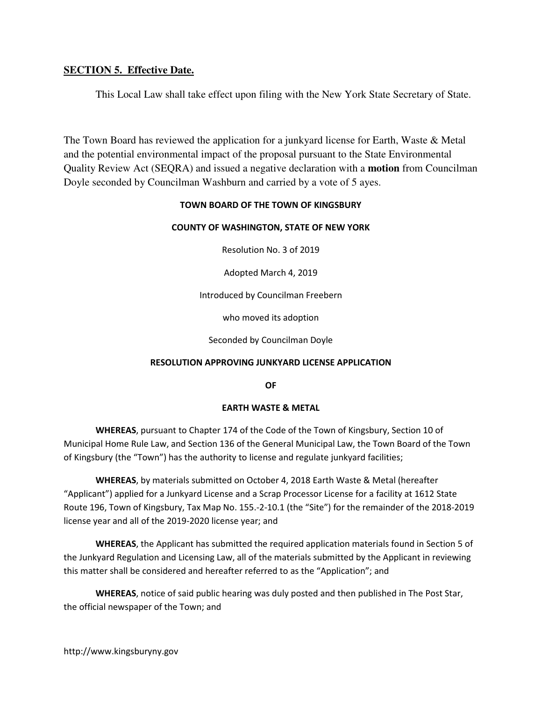# **SECTION 5. Effective Date.**

This Local Law shall take effect upon filing with the New York State Secretary of State.

The Town Board has reviewed the application for a junkyard license for Earth, Waste & Metal and the potential environmental impact of the proposal pursuant to the State Environmental Quality Review Act (SEQRA) and issued a negative declaration with a **motion** from Councilman Doyle seconded by Councilman Washburn and carried by a vote of 5 ayes.

### TOWN BOARD OF THE TOWN OF KINGSBURY

### COUNTY OF WASHINGTON, STATE OF NEW YORK

Resolution No. 3 of 2019

Adopted March 4, 2019

Introduced by Councilman Freebern

who moved its adoption

Seconded by Councilman Doyle

### RESOLUTION APPROVING JUNKYARD LICENSE APPLICATION

OF

### EARTH WASTE & METAL

 WHEREAS, pursuant to Chapter 174 of the Code of the Town of Kingsbury, Section 10 of Municipal Home Rule Law, and Section 136 of the General Municipal Law, the Town Board of the Town of Kingsbury (the "Town") has the authority to license and regulate junkyard facilities;

 WHEREAS, by materials submitted on October 4, 2018 Earth Waste & Metal (hereafter "Applicant") applied for a Junkyard License and a Scrap Processor License for a facility at 1612 State Route 196, Town of Kingsbury, Tax Map No. 155.-2-10.1 (the "Site") for the remainder of the 2018-2019 license year and all of the 2019-2020 license year; and

 WHEREAS, the Applicant has submitted the required application materials found in Section 5 of the Junkyard Regulation and Licensing Law, all of the materials submitted by the Applicant in reviewing this matter shall be considered and hereafter referred to as the "Application"; and

 WHEREAS, notice of said public hearing was duly posted and then published in The Post Star, the official newspaper of the Town; and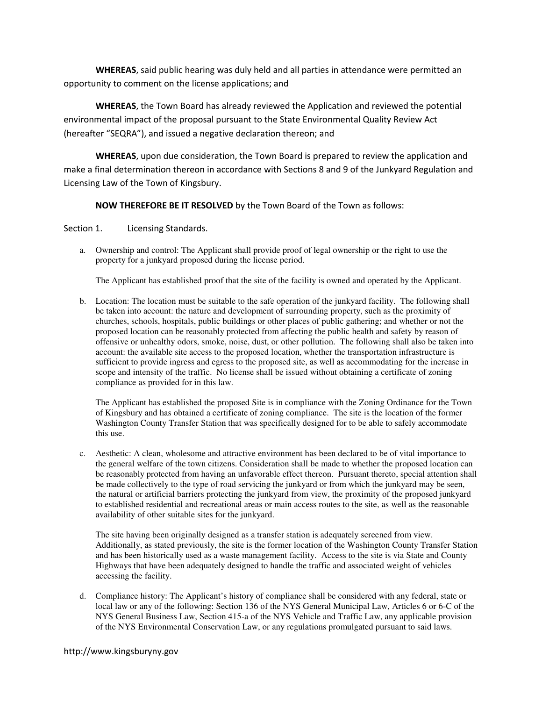WHEREAS, said public hearing was duly held and all parties in attendance were permitted an opportunity to comment on the license applications; and

 WHEREAS, the Town Board has already reviewed the Application and reviewed the potential environmental impact of the proposal pursuant to the State Environmental Quality Review Act (hereafter "SEQRA"), and issued a negative declaration thereon; and

 WHEREAS, upon due consideration, the Town Board is prepared to review the application and make a final determination thereon in accordance with Sections 8 and 9 of the Junkyard Regulation and Licensing Law of the Town of Kingsbury.

#### NOW THEREFORE BE IT RESOLVED by the Town Board of the Town as follows:

Section 1. Licensing Standards.

a. Ownership and control: The Applicant shall provide proof of legal ownership or the right to use the property for a junkyard proposed during the license period.

The Applicant has established proof that the site of the facility is owned and operated by the Applicant.

b. Location: The location must be suitable to the safe operation of the junkyard facility. The following shall be taken into account: the nature and development of surrounding property, such as the proximity of churches, schools, hospitals, public buildings or other places of public gathering; and whether or not the proposed location can be reasonably protected from affecting the public health and safety by reason of offensive or unhealthy odors, smoke, noise, dust, or other pollution. The following shall also be taken into account: the available site access to the proposed location, whether the transportation infrastructure is sufficient to provide ingress and egress to the proposed site, as well as accommodating for the increase in scope and intensity of the traffic. No license shall be issued without obtaining a certificate of zoning compliance as provided for in this law.

The Applicant has established the proposed Site is in compliance with the Zoning Ordinance for the Town of Kingsbury and has obtained a certificate of zoning compliance. The site is the location of the former Washington County Transfer Station that was specifically designed for to be able to safely accommodate this use.

c. Aesthetic: A clean, wholesome and attractive environment has been declared to be of vital importance to the general welfare of the town citizens. Consideration shall be made to whether the proposed location can be reasonably protected from having an unfavorable effect thereon. Pursuant thereto, special attention shall be made collectively to the type of road servicing the junkyard or from which the junkyard may be seen, the natural or artificial barriers protecting the junkyard from view, the proximity of the proposed junkyard to established residential and recreational areas or main access routes to the site, as well as the reasonable availability of other suitable sites for the junkyard.

The site having been originally designed as a transfer station is adequately screened from view. Additionally, as stated previously, the site is the former location of the Washington County Transfer Station and has been historically used as a waste management facility. Access to the site is via State and County Highways that have been adequately designed to handle the traffic and associated weight of vehicles accessing the facility.

d. Compliance history: The Applicant's history of compliance shall be considered with any federal, state or local law or any of the following: Section 136 of the NYS General Municipal Law, Articles 6 or 6-C of the NYS General Business Law, Section 415-a of the NYS Vehicle and Traffic Law, any applicable provision of the NYS Environmental Conservation Law, or any regulations promulgated pursuant to said laws.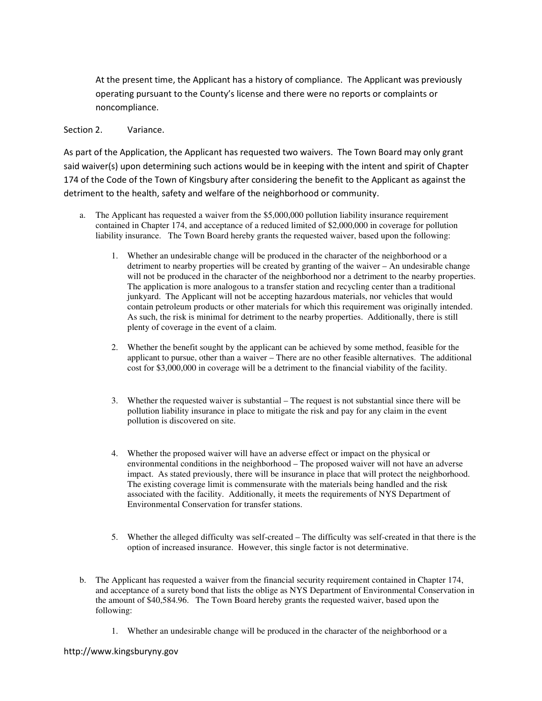At the present time, the Applicant has a history of compliance. The Applicant was previously operating pursuant to the County's license and there were no reports or complaints or noncompliance.

#### Section 2. Variance.

As part of the Application, the Applicant has requested two waivers. The Town Board may only grant said waiver(s) upon determining such actions would be in keeping with the intent and spirit of Chapter 174 of the Code of the Town of Kingsbury after considering the benefit to the Applicant as against the detriment to the health, safety and welfare of the neighborhood or community.

- a. The Applicant has requested a waiver from the \$5,000,000 pollution liability insurance requirement contained in Chapter 174, and acceptance of a reduced limited of \$2,000,000 in coverage for pollution liability insurance. The Town Board hereby grants the requested waiver, based upon the following:
	- 1. Whether an undesirable change will be produced in the character of the neighborhood or a detriment to nearby properties will be created by granting of the waiver – An undesirable change will not be produced in the character of the neighborhood nor a detriment to the nearby properties. The application is more analogous to a transfer station and recycling center than a traditional junkyard. The Applicant will not be accepting hazardous materials, nor vehicles that would contain petroleum products or other materials for which this requirement was originally intended. As such, the risk is minimal for detriment to the nearby properties. Additionally, there is still plenty of coverage in the event of a claim.
	- 2. Whether the benefit sought by the applicant can be achieved by some method, feasible for the applicant to pursue, other than a waiver – There are no other feasible alternatives. The additional cost for \$3,000,000 in coverage will be a detriment to the financial viability of the facility.
	- 3. Whether the requested waiver is substantial The request is not substantial since there will be pollution liability insurance in place to mitigate the risk and pay for any claim in the event pollution is discovered on site.
	- 4. Whether the proposed waiver will have an adverse effect or impact on the physical or environmental conditions in the neighborhood – The proposed waiver will not have an adverse impact. As stated previously, there will be insurance in place that will protect the neighborhood. The existing coverage limit is commensurate with the materials being handled and the risk associated with the facility. Additionally, it meets the requirements of NYS Department of Environmental Conservation for transfer stations.
	- 5. Whether the alleged difficulty was self-created The difficulty was self-created in that there is the option of increased insurance. However, this single factor is not determinative.
- b. The Applicant has requested a waiver from the financial security requirement contained in Chapter 174, and acceptance of a surety bond that lists the oblige as NYS Department of Environmental Conservation in the amount of \$40,584.96. The Town Board hereby grants the requested waiver, based upon the following:
	- 1. Whether an undesirable change will be produced in the character of the neighborhood or a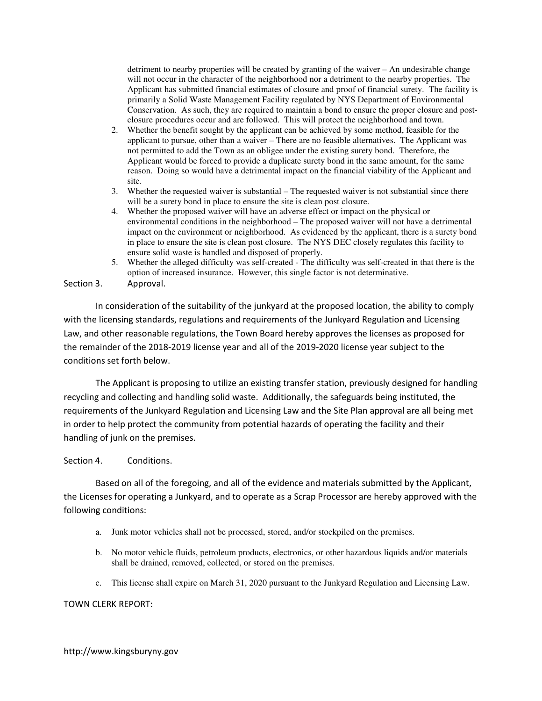detriment to nearby properties will be created by granting of the waiver – An undesirable change will not occur in the character of the neighborhood nor a detriment to the nearby properties. The Applicant has submitted financial estimates of closure and proof of financial surety. The facility is primarily a Solid Waste Management Facility regulated by NYS Department of Environmental Conservation. As such, they are required to maintain a bond to ensure the proper closure and postclosure procedures occur and are followed. This will protect the neighborhood and town.

- 2. Whether the benefit sought by the applicant can be achieved by some method, feasible for the applicant to pursue, other than a waiver – There are no feasible alternatives. The Applicant was not permitted to add the Town as an obligee under the existing surety bond. Therefore, the Applicant would be forced to provide a duplicate surety bond in the same amount, for the same reason. Doing so would have a detrimental impact on the financial viability of the Applicant and site.
- 3. Whether the requested waiver is substantial The requested waiver is not substantial since there will be a surety bond in place to ensure the site is clean post closure.
- 4. Whether the proposed waiver will have an adverse effect or impact on the physical or environmental conditions in the neighborhood – The proposed waiver will not have a detrimental impact on the environment or neighborhood. As evidenced by the applicant, there is a surety bond in place to ensure the site is clean post closure. The NYS DEC closely regulates this facility to ensure solid waste is handled and disposed of properly.
- 5. Whether the alleged difficulty was self-created The difficulty was self-created in that there is the option of increased insurance. However, this single factor is not determinative.

#### Section 3. Approval.

 In consideration of the suitability of the junkyard at the proposed location, the ability to comply with the licensing standards, regulations and requirements of the Junkyard Regulation and Licensing Law, and other reasonable regulations, the Town Board hereby approves the licenses as proposed for the remainder of the 2018-2019 license year and all of the 2019-2020 license year subject to the conditions set forth below.

 The Applicant is proposing to utilize an existing transfer station, previously designed for handling recycling and collecting and handling solid waste. Additionally, the safeguards being instituted, the requirements of the Junkyard Regulation and Licensing Law and the Site Plan approval are all being met in order to help protect the community from potential hazards of operating the facility and their handling of junk on the premises.

#### Section 4. Conditions.

Based on all of the foregoing, and all of the evidence and materials submitted by the Applicant, the Licenses for operating a Junkyard, and to operate as a Scrap Processor are hereby approved with the following conditions:

- a. Junk motor vehicles shall not be processed, stored, and/or stockpiled on the premises.
- b. No motor vehicle fluids, petroleum products, electronics, or other hazardous liquids and/or materials shall be drained, removed, collected, or stored on the premises.
- c. This license shall expire on March 31, 2020 pursuant to the Junkyard Regulation and Licensing Law.

#### TOWN CLERK REPORT: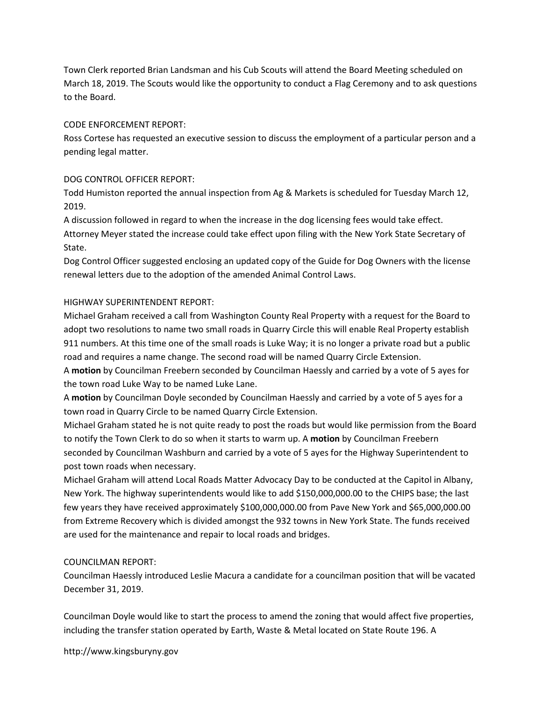Town Clerk reported Brian Landsman and his Cub Scouts will attend the Board Meeting scheduled on March 18, 2019. The Scouts would like the opportunity to conduct a Flag Ceremony and to ask questions to the Board.

## CODE ENFORCEMENT REPORT:

Ross Cortese has requested an executive session to discuss the employment of a particular person and a pending legal matter.

## DOG CONTROL OFFICER REPORT:

Todd Humiston reported the annual inspection from Ag & Markets is scheduled for Tuesday March 12, 2019.

A discussion followed in regard to when the increase in the dog licensing fees would take effect.

Attorney Meyer stated the increase could take effect upon filing with the New York State Secretary of State.

Dog Control Officer suggested enclosing an updated copy of the Guide for Dog Owners with the license renewal letters due to the adoption of the amended Animal Control Laws.

## HIGHWAY SUPERINTENDENT REPORT:

Michael Graham received a call from Washington County Real Property with a request for the Board to adopt two resolutions to name two small roads in Quarry Circle this will enable Real Property establish 911 numbers. At this time one of the small roads is Luke Way; it is no longer a private road but a public road and requires a name change. The second road will be named Quarry Circle Extension.

A motion by Councilman Freebern seconded by Councilman Haessly and carried by a vote of 5 ayes for the town road Luke Way to be named Luke Lane.

A motion by Councilman Doyle seconded by Councilman Haessly and carried by a vote of 5 ayes for a town road in Quarry Circle to be named Quarry Circle Extension.

Michael Graham stated he is not quite ready to post the roads but would like permission from the Board to notify the Town Clerk to do so when it starts to warm up. A motion by Councilman Freebern seconded by Councilman Washburn and carried by a vote of 5 ayes for the Highway Superintendent to post town roads when necessary.

Michael Graham will attend Local Roads Matter Advocacy Day to be conducted at the Capitol in Albany, New York. The highway superintendents would like to add \$150,000,000.00 to the CHIPS base; the last few years they have received approximately \$100,000,000.00 from Pave New York and \$65,000,000.00 from Extreme Recovery which is divided amongst the 932 towns in New York State. The funds received are used for the maintenance and repair to local roads and bridges.

## COUNCILMAN REPORT:

Councilman Haessly introduced Leslie Macura a candidate for a councilman position that will be vacated December 31, 2019.

Councilman Doyle would like to start the process to amend the zoning that would affect five properties, including the transfer station operated by Earth, Waste & Metal located on State Route 196. A

http://www.kingsburyny.gov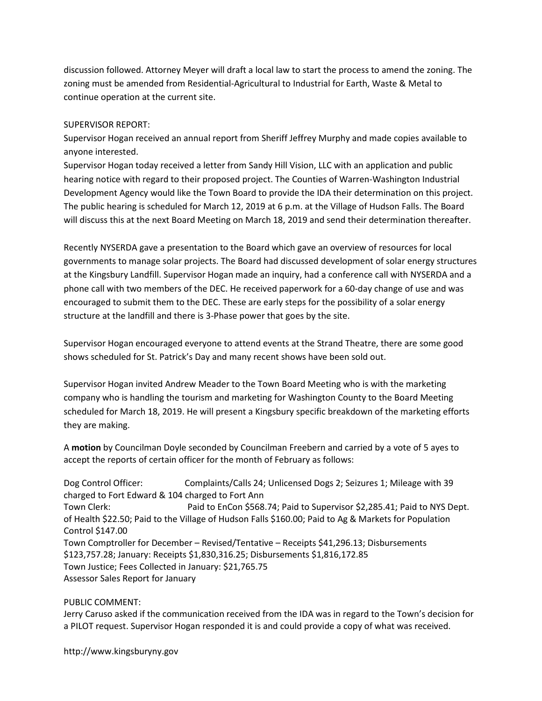discussion followed. Attorney Meyer will draft a local law to start the process to amend the zoning. The zoning must be amended from Residential-Agricultural to Industrial for Earth, Waste & Metal to continue operation at the current site.

## SUPERVISOR REPORT:

Supervisor Hogan received an annual report from Sheriff Jeffrey Murphy and made copies available to anyone interested.

Supervisor Hogan today received a letter from Sandy Hill Vision, LLC with an application and public hearing notice with regard to their proposed project. The Counties of Warren-Washington Industrial Development Agency would like the Town Board to provide the IDA their determination on this project. The public hearing is scheduled for March 12, 2019 at 6 p.m. at the Village of Hudson Falls. The Board will discuss this at the next Board Meeting on March 18, 2019 and send their determination thereafter.

Recently NYSERDA gave a presentation to the Board which gave an overview of resources for local governments to manage solar projects. The Board had discussed development of solar energy structures at the Kingsbury Landfill. Supervisor Hogan made an inquiry, had a conference call with NYSERDA and a phone call with two members of the DEC. He received paperwork for a 60-day change of use and was encouraged to submit them to the DEC. These are early steps for the possibility of a solar energy structure at the landfill and there is 3-Phase power that goes by the site.

Supervisor Hogan encouraged everyone to attend events at the Strand Theatre, there are some good shows scheduled for St. Patrick's Day and many recent shows have been sold out.

Supervisor Hogan invited Andrew Meader to the Town Board Meeting who is with the marketing company who is handling the tourism and marketing for Washington County to the Board Meeting scheduled for March 18, 2019. He will present a Kingsbury specific breakdown of the marketing efforts they are making.

A motion by Councilman Doyle seconded by Councilman Freebern and carried by a vote of 5 ayes to accept the reports of certain officer for the month of February as follows:

Dog Control Officer: Complaints/Calls 24; Unlicensed Dogs 2; Seizures 1; Mileage with 39 charged to Fort Edward & 104 charged to Fort Ann Town Clerk: Paid to EnCon \$568.74; Paid to Supervisor \$2,285.41; Paid to NYS Dept. of Health \$22.50; Paid to the Village of Hudson Falls \$160.00; Paid to Ag & Markets for Population Control \$147.00 Town Comptroller for December – Revised/Tentative – Receipts \$41,296.13; Disbursements \$123,757.28; January: Receipts \$1,830,316.25; Disbursements \$1,816,172.85 Town Justice; Fees Collected in January: \$21,765.75 Assessor Sales Report for January

### PUBLIC COMMENT:

Jerry Caruso asked if the communication received from the IDA was in regard to the Town's decision for a PILOT request. Supervisor Hogan responded it is and could provide a copy of what was received.